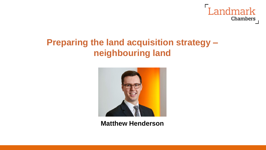

# **Preparing the land acquisition strategy – neighbouring land**



**Matthew Henderson**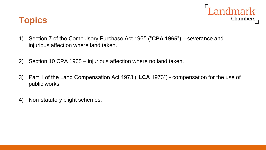



- 1) Section 7 of the Compulsory Purchase Act 1965 ("**CPA 1965**") severance and injurious affection where land taken.
- 2) Section 10 CPA 1965 injurious affection where no land taken.
- 3) Part 1 of the Land Compensation Act 1973 ("**LCA** 1973") compensation for the use of public works.
- 4) Non-statutory blight schemes.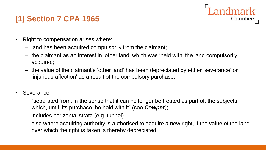## **(1) Section 7 CPA 1965**

- Right to compensation arises where:
	- land has been acquired compulsorily from the claimant;
	- the claimant as an interest in 'other land' which was 'held with' the land compulsorily acquired;

Landmark

- the value of the claimant's 'other land' has been depreciated by either 'severance' or 'injurious affection' as a result of the compulsory purchase.
- Severance:
	- "separated from, in the sense that it can no longer be treated as part of, the subjects which, until, its purchase, he held with it" (see *Cowper*);
	- includes horizontal strata (e.g. tunnel)
	- also where acquiring authority is authorised to acquire a new right, if the value of the land over which the right is taken is thereby depreciated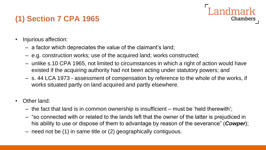## **(1) Section 7 CPA 1965**

- Injurious affection:
	- a factor which depreciates the value of the claimant's land;
	- e.g. construction works; use of the acquired land; works constructed;
	- unlike s.10 CPA 1965, not limited to circumstances in which a right of action would have existed if the acquiring authority had not been acting under statutory powers; and

andmark

- s. 44 LCA 1973 assessment of compensation by reference to the whole of the works, if works situated partly on land acquired and partly elsewhere.
- Other land:
	- the fact that land is in common ownership is insufficient must be 'held therewith';
	- "so connected with or related to the lands left that the owner of the latter is prejudiced in his ability to use or dispose of them to advantage by reason of the severance" (*Cowper*);
	- need not be (1) in same title or (2) geographically contiguous.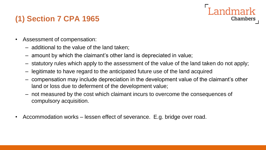## **(1) Section 7 CPA 1965**

- Assessment of compensation:
	- additional to the value of the land taken;
	- amount by which the claimant's other land is depreciated in value;
	- statutory rules which apply to the assessment of the value of the land taken do not apply;

ndmark

- legitimate to have regard to the anticipated future use of the land acquired
- compensation may include depreciation in the development value of the claimant's other land or loss due to deferment of the development value;
- not measured by the cost which claimant incurs to overcome the consequences of compulsory acquisition.
- Accommodation works lessen effect of severance. E.g. bridge over road.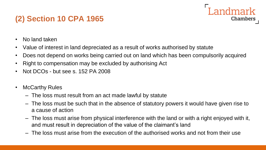## **(2) Section 10 CPA 1965**

- No land taken
- Value of interest in land depreciated as a result of works authorised by statute
- Does not depend on works being carried out on land which has been compulsorily acquired

Landmark

- Right to compensation may be excluded by authorising Act
- Not DCOs but see s. 152 PA 2008
- McCarthy Rules
	- The loss must result from an act made lawful by statute
	- The loss must be such that in the absence of statutory powers it would have given rise to a cause of action
	- The loss must arise from physical interference with the land or with a right enjoyed with it, and must result in depreciation of the value of the claimant's land
	- The loss must arise from the execution of the authorised works and not from their use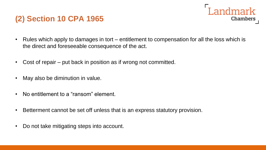### **(2) Section 10 CPA 1965**

• Rules which apply to damages in tort – entitlement to compensation for all the loss which is the direct and foreseeable consequence of the act.

Landmark

- Cost of repair put back in position as if wrong not committed.
- May also be diminution in value.
- No entitlement to a "ransom" element.
- Betterment cannot be set off unless that is an express statutory provision.
- Do not take mitigating steps into account.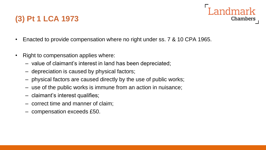# **(3) Pt 1 LCA 1973**

• Enacted to provide compensation where no right under ss. 7 & 10 CPA 1965.

- Right to compensation applies where:
	- value of claimant's interest in land has been depreciated;
	- depreciation is caused by physical factors;
	- physical factors are caused directly by the use of public works;
	- use of the public works is immune from an action in nuisance;
	- claimant's interest qualifies;
	- correct time and manner of claim;
	- compensation exceeds £50.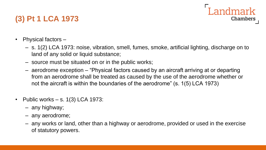# **(3) Pt 1 LCA 1973**

- Physical factors
	- s. 1(2) LCA 1973: noise, vibration, smell, fumes, smoke, artificial lighting, discharge on to land of any solid or liquid substance;

**Landmark** 

- source must be situated on or in the public works;
- aerodrome exception "Physical factors caused by an aircraft arriving at or departing from an aerodrome shall be treated as caused by the use of the aerodrome whether or not the aircraft is within the boundaries of the aerodrome" (s. 1(5) LCA 1973)
- Public works  $-$  s. 1(3) LCA 1973:
	- any highway;
	- any aerodrome;
	- any works or land, other than a highway or aerodrome, provided or used in the exercise of statutory powers.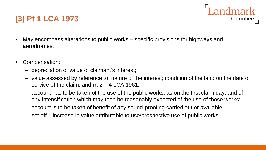# **(3) Pt 1 LCA 1973**

- May encompass alterations to public works specific provisions for highways and aerodromes.
- Compensation:
	- depreciation of value of claimant's interest;
	- value assessed by reference to: nature of the interest; condition of the land on the date of service of the claim; and rr. 2 – 4 LCA 1961;

I andmark

- account has to be taken of the use of the public works, as on the first claim day, and of any intensification which may then be reasonably expected of the use of those works;
- account is to be taken of benefit of any sound-proofing carried out or available;
- set off increase in value attributable to use/prospective use of public works.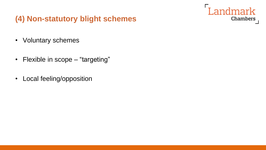

### **(4) Non-statutory blight schemes**

- Voluntary schemes
- Flexible in scope "targeting"
- Local feeling/opposition